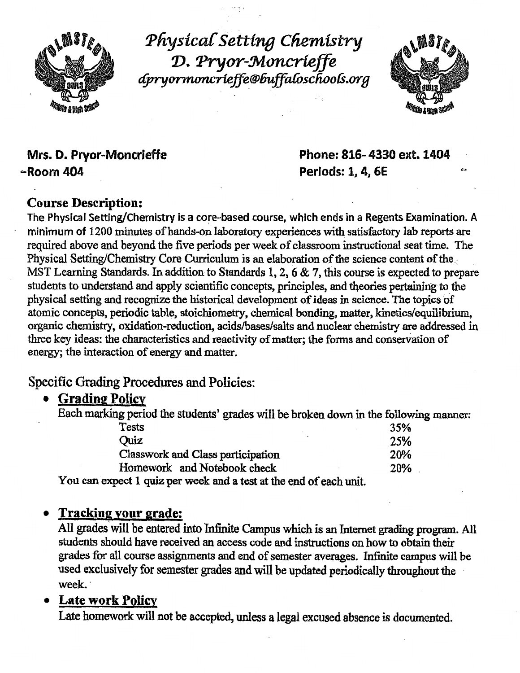

Physical Setting Chemistry D. Pryor-Moncrieffe dpryormoncrieffe@buffaloschools.org



# Mrs. D. Pryor-Moncrieffe 'Room 404

Phone:816-4330 ext. 1404 Periods: 1, 4, 6E

### Course Description:

The Physical Setting/Chemistry is a core-based course, which ends in a Regents Examination. A minimum of 1200 minutes of hands-on laboratory experiences with satisfactory lab reports are required above and beyond the five periods per week of classroom instructional seat time. The Physical Setting/Chemistry Core Curriculum is an elaboration of the science content of the MST Learning Standards. In addition to Standards 1, 2, 6 & 7, this course is expected to prepare students to understand and apply scientific concepts, principles, and theories pertaining to the physical setting and recognize the historical development of ideas in science. The topics of atomic concepts, periodic table, stoichiometry, chemical bonding, matter, kinetics/equilibrium, organic chemistry, oxidation-reduction, acids/bases/salts aad nuclear chemistry are addressed m three key ideas: the characteristics and reactivity of matter; the forms and conservation of energy; the interaction of energy and matter.

Specific Grading Procedures and Policies:

### • Grading Policy

Each marking period the students' grades will be broken down in fhe following manner:

| Tests                             |  | 35%        |
|-----------------------------------|--|------------|
| Ouiz                              |  | 25%        |
| Classwork and Class participation |  | <b>20%</b> |
| Homework and Notebook check       |  | 20%        |
|                                   |  |            |

You can expect 1 quiz per week and a test at the end of each unit.

### • Tracking your grade:

All grades will be entered into Infimte Campus which is an Intemet grading program. All students should have received an access code and instmctions on how to obtam their grades for all course assignments and end of semester averages. Infinite campus will be used exclusively for semester grades and will be updated periodically throughout the week.

### • Late work Policv

Late homework will not be accepted, unless a legal excused absence is documented.